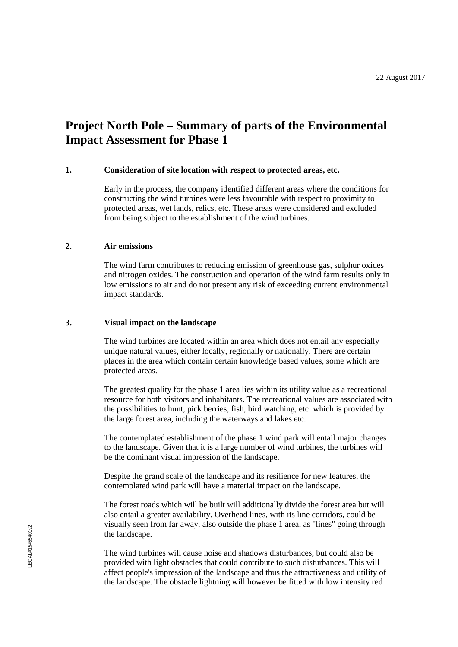# **Project North Pole – Summary of parts of the Environmental Impact Assessment for Phase 1**

## **1. Consideration of site location with respect to protected areas, etc.**

Early in the process, the company identified different areas where the conditions for constructing the wind turbines were less favourable with respect to proximity to protected areas, wet lands, relics, etc. These areas were considered and excluded from being subject to the establishment of the wind turbines.

## **2. Air emissions**

The wind farm contributes to reducing emission of greenhouse gas, sulphur oxides and nitrogen oxides. The construction and operation of the wind farm results only in low emissions to air and do not present any risk of exceeding current environmental impact standards.

#### **3. Visual impact on the landscape**

The wind turbines are located within an area which does not entail any especially unique natural values, either locally, regionally or nationally. There are certain places in the area which contain certain knowledge based values, some which are protected areas.

The greatest quality for the phase 1 area lies within its utility value as a recreational resource for both visitors and inhabitants. The recreational values are associated with the possibilities to hunt, pick berries, fish, bird watching, etc. which is provided by the large forest area, including the waterways and lakes etc.

The contemplated establishment of the phase 1 wind park will entail major changes to the landscape. Given that it is a large number of wind turbines, the turbines will be the dominant visual impression of the landscape.

Despite the grand scale of the landscape and its resilience for new features, the contemplated wind park will have a material impact on the landscape.

The forest roads which will be built will additionally divide the forest area but will also entail a greater availability. Overhead lines, with its line corridors, could be visually seen from far away, also outside the phase 1 area, as "lines" going through the landscape.

The wind turbines will cause noise and shadows disturbances, but could also be provided with light obstacles that could contribute to such disturbances. This will affect people's impression of the landscape and thus the attractiveness and utility of the landscape. The obstacle lightning will however be fitted with low intensity red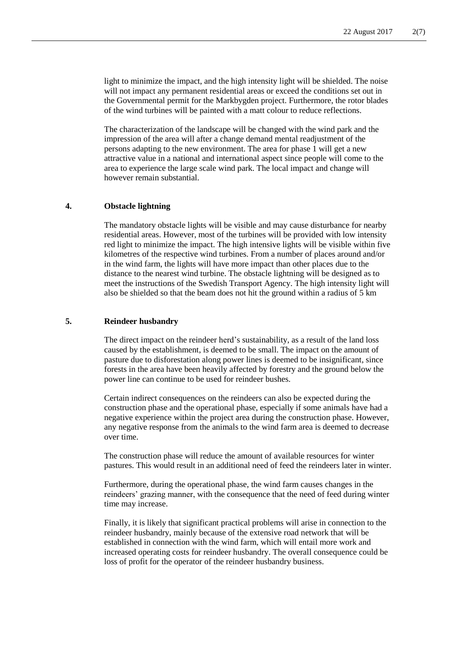light to minimize the impact, and the high intensity light will be shielded. The noise will not impact any permanent residential areas or exceed the conditions set out in the Governmental permit for the Markbygden project. Furthermore, the rotor blades of the wind turbines will be painted with a matt colour to reduce reflections.

The characterization of the landscape will be changed with the wind park and the impression of the area will after a change demand mental readjustment of the persons adapting to the new environment. The area for phase 1 will get a new attractive value in a national and international aspect since people will come to the area to experience the large scale wind park. The local impact and change will however remain substantial.

## **4. Obstacle lightning**

The mandatory obstacle lights will be visible and may cause disturbance for nearby residential areas. However, most of the turbines will be provided with low intensity red light to minimize the impact. The high intensive lights will be visible within five kilometres of the respective wind turbines. From a number of places around and/or in the wind farm, the lights will have more impact than other places due to the distance to the nearest wind turbine. The obstacle lightning will be designed as to meet the instructions of the Swedish Transport Agency. The high intensity light will also be shielded so that the beam does not hit the ground within a radius of 5 km

## **5. Reindeer husbandry**

The direct impact on the reindeer herd's sustainability, as a result of the land loss caused by the establishment, is deemed to be small. The impact on the amount of pasture due to disforestation along power lines is deemed to be insignificant, since forests in the area have been heavily affected by forestry and the ground below the power line can continue to be used for reindeer bushes.

Certain indirect consequences on the reindeers can also be expected during the construction phase and the operational phase, especially if some animals have had a negative experience within the project area during the construction phase. However, any negative response from the animals to the wind farm area is deemed to decrease over time.

The construction phase will reduce the amount of available resources for winter pastures. This would result in an additional need of feed the reindeers later in winter.

Furthermore, during the operational phase, the wind farm causes changes in the reindeers' grazing manner, with the consequence that the need of feed during winter time may increase.

Finally, it is likely that significant practical problems will arise in connection to the reindeer husbandry, mainly because of the extensive road network that will be established in connection with the wind farm, which will entail more work and increased operating costs for reindeer husbandry. The overall consequence could be loss of profit for the operator of the reindeer husbandry business.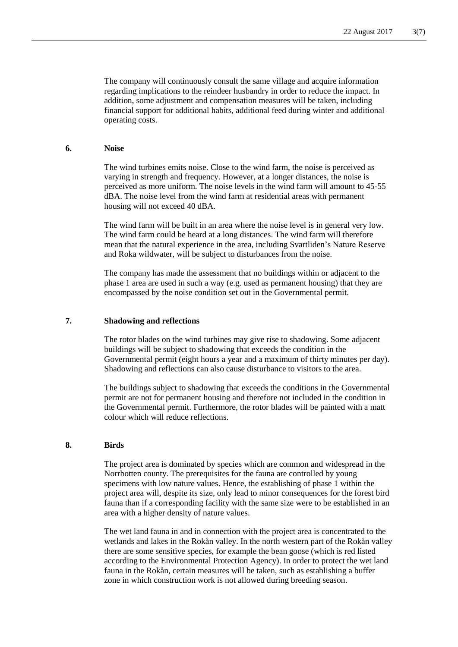The company will continuously consult the same village and acquire information regarding implications to the reindeer husbandry in order to reduce the impact. In addition, some adjustment and compensation measures will be taken, including financial support for additional habits, additional feed during winter and additional operating costs.

## **6. Noise**

The wind turbines emits noise. Close to the wind farm, the noise is perceived as varying in strength and frequency. However, at a longer distances, the noise is perceived as more uniform. The noise levels in the wind farm will amount to 45-55 dBA. The noise level from the wind farm at residential areas with permanent housing will not exceed 40 dBA.

The wind farm will be built in an area where the noise level is in general very low. The wind farm could be heard at a long distances. The wind farm will therefore mean that the natural experience in the area, including Svartliden's Nature Reserve and Roka wildwater, will be subject to disturbances from the noise.

The company has made the assessment that no buildings within or adjacent to the phase 1 area are used in such a way (e.g. used as permanent housing) that they are encompassed by the noise condition set out in the Governmental permit.

## **7. Shadowing and reflections**

The rotor blades on the wind turbines may give rise to shadowing. Some adjacent buildings will be subject to shadowing that exceeds the condition in the Governmental permit (eight hours a year and a maximum of thirty minutes per day). Shadowing and reflections can also cause disturbance to visitors to the area.

The buildings subject to shadowing that exceeds the conditions in the Governmental permit are not for permanent housing and therefore not included in the condition in the Governmental permit. Furthermore, the rotor blades will be painted with a matt colour which will reduce reflections.

## **8. Birds**

The project area is dominated by species which are common and widespread in the Norrbotten county. The prerequisites for the fauna are controlled by young specimens with low nature values. Hence, the establishing of phase 1 within the project area will, despite its size, only lead to minor consequences for the forest bird fauna than if a corresponding facility with the same size were to be established in an area with a higher density of nature values.

The wet land fauna in and in connection with the project area is concentrated to the wetlands and lakes in the Rokån valley. In the north western part of the Rokån valley there are some sensitive species, for example the bean goose (which is red listed according to the Environmental Protection Agency). In order to protect the wet land fauna in the Rokån, certain measures will be taken, such as establishing a buffer zone in which construction work is not allowed during breeding season.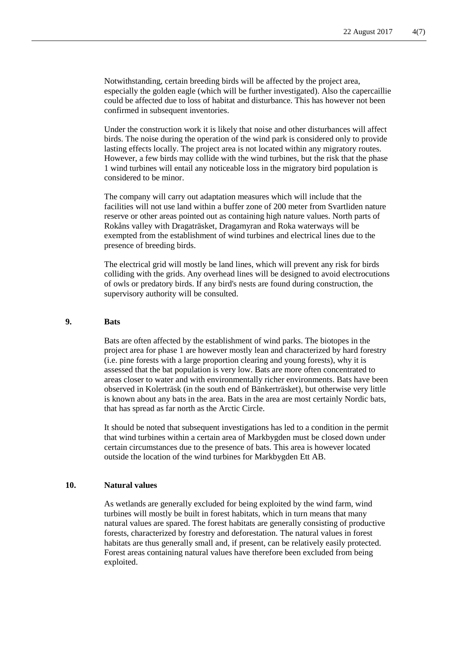Notwithstanding, certain breeding birds will be affected by the project area, especially the golden eagle (which will be further investigated). Also the capercaillie could be affected due to loss of habitat and disturbance. This has however not been confirmed in subsequent inventories.

Under the construction work it is likely that noise and other disturbances will affect birds. The noise during the operation of the wind park is considered only to provide lasting effects locally. The project area is not located within any migratory routes. However, a few birds may collide with the wind turbines, but the risk that the phase 1 wind turbines will entail any noticeable loss in the migratory bird population is considered to be minor.

The company will carry out adaptation measures which will include that the facilities will not use land within a buffer zone of 200 meter from Svartliden nature reserve or other areas pointed out as containing high nature values. North parts of Rokåns valley with Dragaträsket, Dragamyran and Roka waterways will be exempted from the establishment of wind turbines and electrical lines due to the presence of breeding birds.

The electrical grid will mostly be land lines, which will prevent any risk for birds colliding with the grids. Any overhead lines will be designed to avoid electrocutions of owls or predatory birds. If any bird's nests are found during construction, the supervisory authority will be consulted.

#### **9. Bats**

Bats are often affected by the establishment of wind parks. The biotopes in the project area for phase 1 are however mostly lean and characterized by hard forestry (i.e. pine forests with a large proportion clearing and young forests), why it is assessed that the bat population is very low. Bats are more often concentrated to areas closer to water and with environmentally richer environments. Bats have been observed in Kolerträsk (in the south end of Bänkerträsket), but otherwise very little is known about any bats in the area. Bats in the area are most certainly Nordic bats, that has spread as far north as the Arctic Circle.

It should be noted that subsequent investigations has led to a condition in the permit that wind turbines within a certain area of Markbygden must be closed down under certain circumstances due to the presence of bats. This area is however located outside the location of the wind turbines for Markbygden Ett AB.

## **10. Natural values**

As wetlands are generally excluded for being exploited by the wind farm, wind turbines will mostly be built in forest habitats, which in turn means that many natural values are spared. The forest habitats are generally consisting of productive forests, characterized by forestry and deforestation. The natural values in forest habitats are thus generally small and, if present, can be relatively easily protected. Forest areas containing natural values have therefore been excluded from being exploited.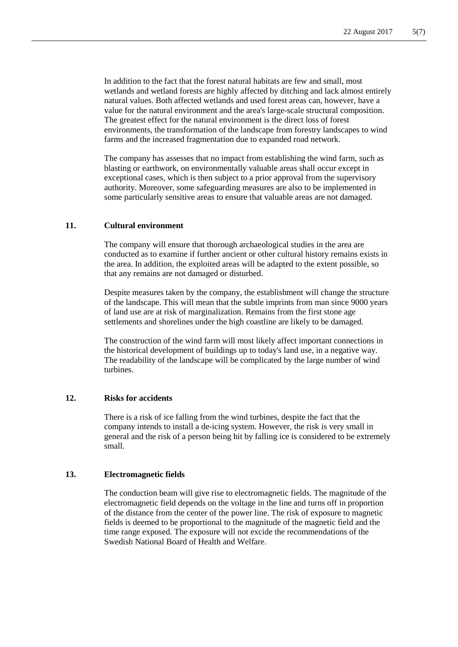In addition to the fact that the forest natural habitats are few and small, most wetlands and wetland forests are highly affected by ditching and lack almost entirely natural values. Both affected wetlands and used forest areas can, however, have a value for the natural environment and the area's large-scale structural composition. The greatest effect for the natural environment is the direct loss of forest environments, the transformation of the landscape from forestry landscapes to wind farms and the increased fragmentation due to expanded road network.

The company has assesses that no impact from establishing the wind farm, such as blasting or earthwork, on environmentally valuable areas shall occur except in exceptional cases, which is then subject to a prior approval from the supervisory authority. Moreover, some safeguarding measures are also to be implemented in some particularly sensitive areas to ensure that valuable areas are not damaged.

## **11. Cultural environment**

The company will ensure that thorough archaeological studies in the area are conducted as to examine if further ancient or other cultural history remains exists in the area. In addition, the exploited areas will be adapted to the extent possible, so that any remains are not damaged or disturbed.

Despite measures taken by the company, the establishment will change the structure of the landscape. This will mean that the subtle imprints from man since 9000 years of land use are at risk of marginalization. Remains from the first stone age settlements and shorelines under the high coastline are likely to be damaged.

The construction of the wind farm will most likely affect important connections in the historical development of buildings up to today's land use, in a negative way. The readability of the landscape will be complicated by the large number of wind turbines.

## **12. Risks for accidents**

There is a risk of ice falling from the wind turbines, despite the fact that the company intends to install a de-icing system. However, the risk is very small in general and the risk of a person being hit by falling ice is considered to be extremely small.

## **13. Electromagnetic fields**

The conduction beam will give rise to electromagnetic fields. The magnitude of the electromagnetic field depends on the voltage in the line and turns off in proportion of the distance from the center of the power line. The risk of exposure to magnetic fields is deemed to be proportional to the magnitude of the magnetic field and the time range exposed. The exposure will not excide the recommendations of the Swedish National Board of Health and Welfare.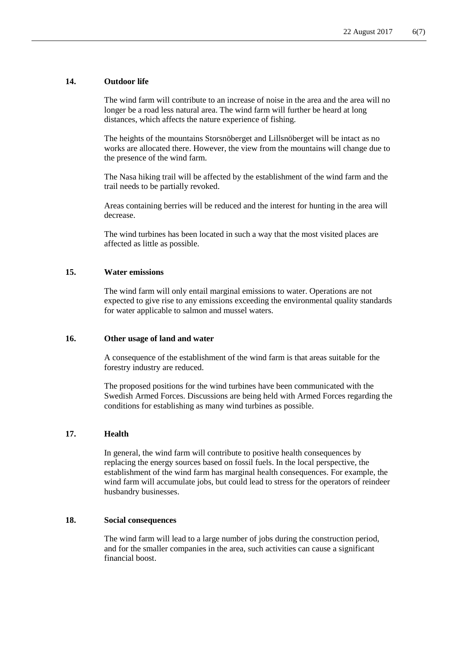## **14. Outdoor life**

The wind farm will contribute to an increase of noise in the area and the area will no longer be a road less natural area. The wind farm will further be heard at long distances, which affects the nature experience of fishing.

The heights of the mountains Storsnöberget and Lillsnöberget will be intact as no works are allocated there. However, the view from the mountains will change due to the presence of the wind farm.

The Nasa hiking trail will be affected by the establishment of the wind farm and the trail needs to be partially revoked.

Areas containing berries will be reduced and the interest for hunting in the area will decrease.

The wind turbines has been located in such a way that the most visited places are affected as little as possible.

#### **15. Water emissions**

The wind farm will only entail marginal emissions to water. Operations are not expected to give rise to any emissions exceeding the environmental quality standards for water applicable to salmon and mussel waters.

#### **16. Other usage of land and water**

A consequence of the establishment of the wind farm is that areas suitable for the forestry industry are reduced.

The proposed positions for the wind turbines have been communicated with the Swedish Armed Forces. Discussions are being held with Armed Forces regarding the conditions for establishing as many wind turbines as possible.

## **17. Health**

In general, the wind farm will contribute to positive health consequences by replacing the energy sources based on fossil fuels. In the local perspective, the establishment of the wind farm has marginal health consequences. For example, the wind farm will accumulate jobs, but could lead to stress for the operators of reindeer husbandry businesses.

## **18. Social consequences**

The wind farm will lead to a large number of jobs during the construction period, and for the smaller companies in the area, such activities can cause a significant financial boost.